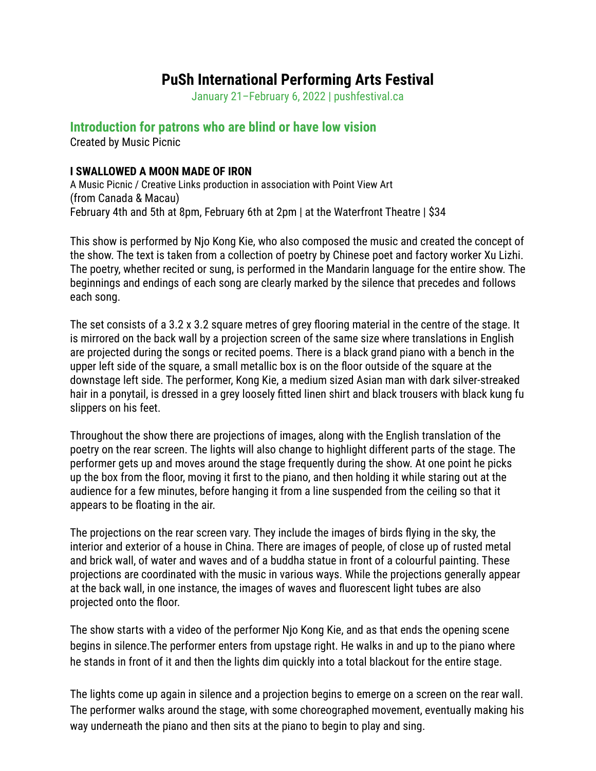## **PuSh International Performing Arts Festival**

January 21–February 6, 2022 | pushfestival.ca

## **Introduction for patrons who are blind or have low vision**

Created by Music Picnic

## **I SWALLOWED A MOON MADE OF IRON**

A Music Picnic / Creative Links production in association with Point View Art (from Canada & Macau) February 4th and 5th at 8pm, February 6th at 2pm | at the Waterfront Theatre | \$34

This show is performed by Njo Kong Kie, who also composed the music and created the concept of the show. The text is taken from a collection of poetry by Chinese poet and factory worker Xu Lizhi. The poetry, whether recited or sung, is performed in the Mandarin language for the entire show. The beginnings and endings of each song are clearly marked by the silence that precedes and follows each song.

The set consists of a 3.2 x 3.2 square metres of grey flooring material in the centre of the stage. It is mirrored on the back wall by a projection screen of the same size where translations in English are projected during the songs or recited poems. There is a black grand piano with a bench in the upper left side of the square, a small metallic box is on the floor outside of the square at the downstage left side. The performer, Kong Kie, a medium sized Asian man with dark silver-streaked hair in a ponytail, is dressed in a grey loosely fitted linen shirt and black trousers with black kung fu slippers on his feet.

Throughout the show there are projections of images, along with the English translation of the poetry on the rear screen. The lights will also change to highlight different parts of the stage. The performer gets up and moves around the stage frequently during the show. At one point he picks up the box from the floor, moving it first to the piano, and then holding it while staring out at the audience for a few minutes, before hanging it from a line suspended from the ceiling so that it appears to be floating in the air.

The projections on the rear screen vary. They include the images of birds flying in the sky, the interior and exterior of a house in China. There are images of people, of close up of rusted metal and brick wall, of water and waves and of a buddha statue in front of a colourful painting. These projections are coordinated with the music in various ways. While the projections generally appear at the back wall, in one instance, the images of waves and fluorescent light tubes are also projected onto the floor.

The show starts with a video of the performer Njo Kong Kie, and as that ends the opening scene begins in silence.The performer enters from upstage right. He walks in and up to the piano where he stands in front of it and then the lights dim quickly into a total blackout for the entire stage.

The lights come up again in silence and a projection begins to emerge on a screen on the rear wall. The performer walks around the stage, with some choreographed movement, eventually making his way underneath the piano and then sits at the piano to begin to play and sing.